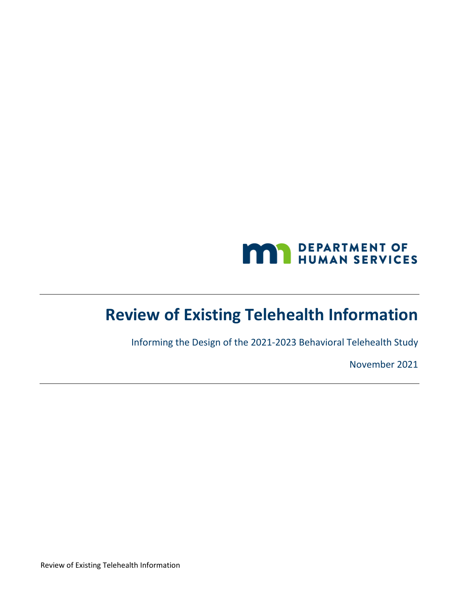

# **Review of Existing Telehealth Information**

Informing the Design of the 2021-2023 Behavioral Telehealth Study

November 2021

Review of Existing Telehealth Information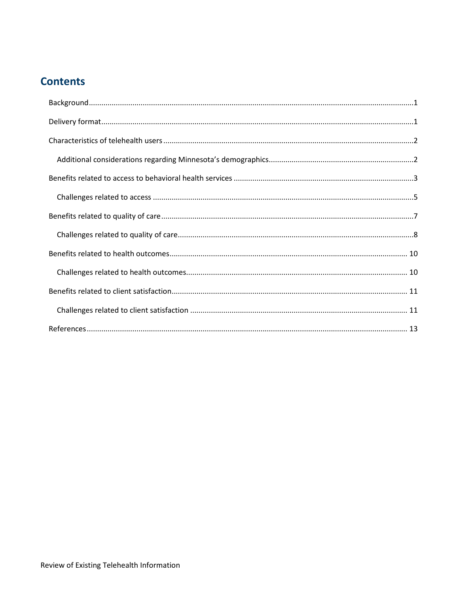## **Contents**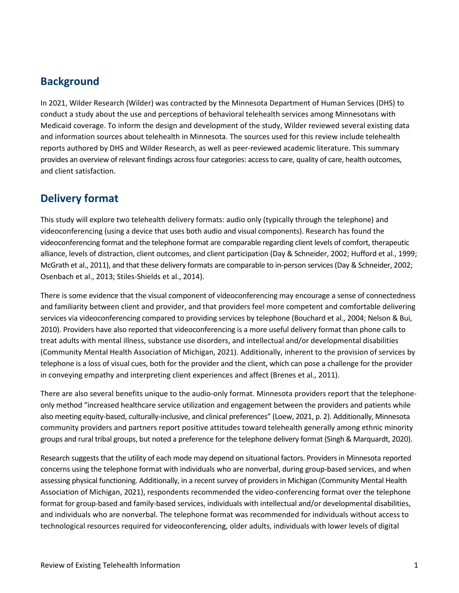#### <span id="page-2-0"></span>**Background**

In 2021, Wilder Research (Wilder) was contracted by the Minnesota Department of Human Services (DHS) to conduct a study about the use and perceptions of behavioral telehealth services among Minnesotans with Medicaid coverage. To inform the design and development of the study, Wilder reviewed several existing data and information sources about telehealth in Minnesota. The sources used for this review include telehealth reports authored by DHS and Wilder Research, as well as peer-reviewed academic literature. This summary provides an overview of relevant findings across four categories: access to care, quality of care, health outcomes, and client satisfaction.

#### <span id="page-2-1"></span>**Delivery format**

This study will explore two telehealth delivery formats: audio only (typically through the telephone) and videoconferencing (using a device that uses both audio and visual components). Research has found the videoconferencing format and the telephone format are comparable regarding client levels of comfort, therapeutic alliance, levels of distraction, client outcomes, and client participation (Day & Schneider, 2002; Hufford et al., 1999; McGrath et al., 2011), and that these delivery formats are comparable to in-person services (Day & Schneider, 2002; Osenbach et al., 2013; Stiles-Shields et al., 2014).

There is some evidence that the visual component of videoconferencing may encourage a sense of connectedness and familiarity between client and provider, and that providers feel more competent and comfortable delivering services via videoconferencing compared to providing services by telephone (Bouchard et al., 2004; Nelson & Bui, 2010). Providers have also reported that videoconferencing is a more useful delivery format than phone calls to treat adults with mental illness, substance use disorders, and intellectual and/or developmental disabilities (Community Mental Health Association of Michigan, 2021). Additionally, inherent to the provision of services by telephone is a loss of visual cues, both for the provider and the client, which can pose a challenge for the provider in conveying empathy and interpreting client experiences and affect (Brenes et al., 2011).

There are also several benefits unique to the audio-only format. Minnesota providers report that the telephoneonly method "increased healthcare service utilization and engagement between the providers and patients while also meeting equity-based, culturally-inclusive, and clinical preferences" (Loew, 2021, p. 2). Additionally, Minnesota community providers and partners report positive attitudes toward telehealth generally among ethnic minority groups and rural tribal groups, but noted a preference for the telephone delivery format (Singh & Marquardt, 2020).

Research suggests that the utility of each mode may depend on situational factors. Providers in Minnesota reported concerns using the telephone format with individuals who are nonverbal, during group-based services, and when assessing physical functioning. Additionally, in a recent survey of providers in Michigan (Community Mental Health Association of Michigan, 2021), respondents recommended the video-conferencing format over the telephone format for group-based and family-based services, individuals with intellectual and/or developmental disabilities, and individuals who are nonverbal. The telephone format was recommended for individuals without access to technological resources required for videoconferencing, older adults, individuals with lower levels of digital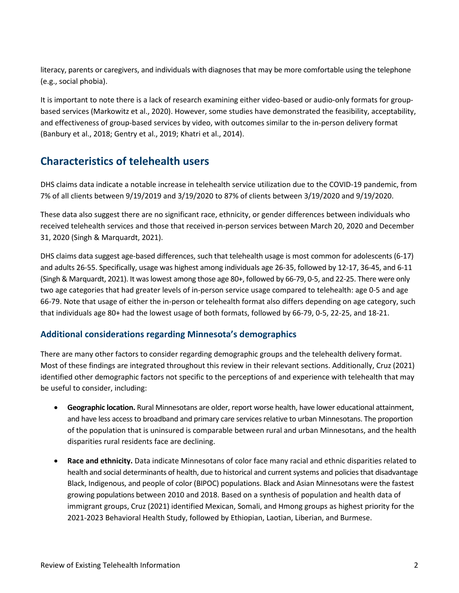literacy, parents or caregivers, and individuals with diagnoses that may be more comfortable using the telephone (e.g., social phobia).

It is important to note there is a lack of research examining either video-based or audio-only formats for groupbased services (Markowitz et al., 2020). However, some studies have demonstrated the feasibility, acceptability, and effectiveness of group-based services by video, with outcomes similar to the in-person delivery format (Banbury et al., 2018; Gentry et al., 2019; Khatri et al., 2014).

## <span id="page-3-0"></span>**Characteristics of telehealth users**

DHS claims data indicate a notable increase in telehealth service utilization due to the COVID-19 pandemic, from 7% of all clients between 9/19/2019 and 3/19/2020 to 87% of clients between 3/19/2020 and 9/19/2020.

These data also suggest there are no significant race, ethnicity, or gender differences between individuals who received telehealth services and those that received in-person services between March 20, 2020 and December 31, 2020 (Singh & Marquardt, 2021).

DHS claims data suggest age-based differences, such that telehealth usage is most common for adolescents (6-17) and adults 26-55. Specifically, usage was highest among individuals age 26-35, followed by 12-17, 36-45, and 6-11 (Singh & Marquardt, 2021). It waslowest among those age 80+, followed by 66-79, 0-5, and 22-25. There were only two age categories that had greater levels of in-person service usage compared to telehealth: age 0-5 and age 66-79. Note that usage of either the in-person or telehealth format also differs depending on age category, such that individuals age 80+ had the lowest usage of both formats, followed by 66-79, 0-5, 22-25, and 18-21.

#### <span id="page-3-1"></span>**Additional considerations regarding Minnesota's demographics**

There are many other factors to consider regarding demographic groups and the telehealth delivery format. Most of these findings are integrated throughout this review in their relevant sections. Additionally, Cruz (2021) identified other demographic factors not specific to the perceptions of and experience with telehealth that may be useful to consider, including:

- **Geographic location.** Rural Minnesotans are older, report worse health, have lower educational attainment, and have less access to broadband and primary care servicesrelative to urban Minnesotans. The proportion of the population that is uninsured is comparable between rural and urban Minnesotans, and the health disparities rural residents face are declining.
- **Race and ethnicity.** Data indicate Minnesotans of color face many racial and ethnic disparities related to health and social determinants of health, due to historical and current systems and policies that disadvantage Black, Indigenous, and people of color (BIPOC) populations. Black and Asian Minnesotans were the fastest growing populations between 2010 and 2018. Based on a synthesis of population and health data of immigrant groups, Cruz (2021) identified Mexican, Somali, and Hmong groups as highest priority for the 2021-2023 Behavioral Health Study, followed by Ethiopian, Laotian, Liberian, and Burmese.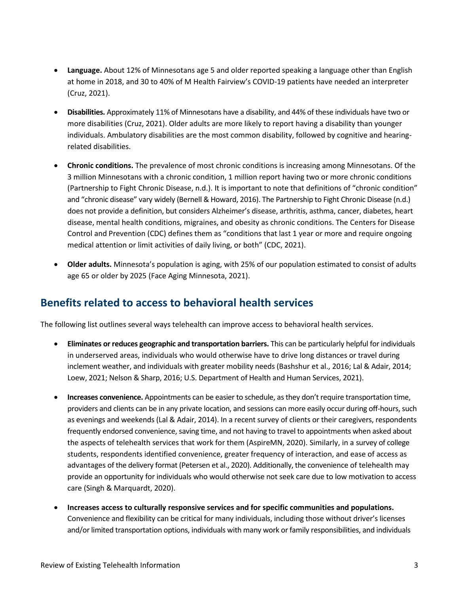- **Language.** About 12% of Minnesotans age 5 and older reported speaking a language other than English at home in 2018, and 30 to 40% of M Health Fairview's COVID-19 patients have needed an interpreter (Cruz, 2021).
- **Disabilities.** Approximately 11% of Minnesotans have a disability, and 44% of these individuals have two or more disabilities (Cruz, 2021). Older adults are more likely to report having a disability than younger individuals. Ambulatory disabilities are the most common disability, followed by cognitive and hearingrelated disabilities.
- **Chronic conditions.** The prevalence of most chronic conditions is increasing among Minnesotans. Of the 3 million Minnesotans with a chronic condition, 1 million report having two or more chronic conditions (Partnership to Fight Chronic Disease, n.d.). It is important to note that definitions of "chronic condition" and "chronic disease" vary widely (Bernell & Howard, 2016). The Partnership to Fight Chronic Disease (n.d.) does not provide a definition, but considers Alzheimer's disease, arthritis, asthma, cancer, diabetes, heart disease, mental health conditions, migraines, and obesity as chronic conditions. The Centers for Disease Control and Prevention (CDC) defines them as "conditions that last 1 year or more and require ongoing medical attention or limit activities of daily living, or both" (CDC, 2021).
- **Older adults.** Minnesota's population is aging, with 25% of our population estimated to consist of adults age 65 or older by 2025 (Face Aging Minnesota, 2021).

#### <span id="page-4-0"></span>**Benefits related to access to behavioral health services**

The following list outlines several ways telehealth can improve access to behavioral health services.

- **Eliminates or reduces geographic and transportation barriers.** This can be particularly helpful for individuals in underserved areas, individuals who would otherwise have to drive long distances or travel during inclement weather, and individuals with greater mobility needs (Bashshur et al., 2016; Lal & Adair, 2014; Loew, 2021; Nelson & Sharp, 2016; U.S. Department of Health and Human Services, 2021).
- **Increases convenience.** Appointments can be easier to schedule, as they don't require transportation time, providers and clients can be in any private location, and sessions can more easily occur during off-hours, such as evenings and weekends (Lal & Adair, 2014). In a recent survey of clients or their caregivers, respondents frequently endorsed convenience, saving time, and not having to travel to appointments when asked about the aspects of telehealth services that work for them (AspireMN, 2020). Similarly, in a survey of college students, respondents identified convenience, greater frequency of interaction, and ease of access as advantages of the delivery format (Petersen et al., 2020). Additionally, the convenience of telehealth may provide an opportunity for individuals who would otherwise not seek care due to low motivation to access care (Singh & Marquardt, 2020).
- **Increases access to culturally responsive services and for specific communities and populations.**  Convenience and flexibility can be critical for many individuals, including those without driver's licenses and/or limited transportation options, individuals with many work or family responsibilities, and individuals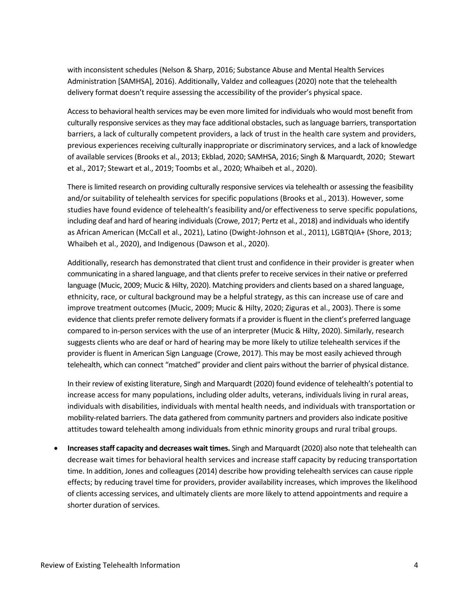with inconsistent schedules (Nelson & Sharp, 2016; Substance Abuse and Mental Health Services Administration [SAMHSA], 2016). Additionally, Valdez and colleagues (2020) note that the telehealth delivery format doesn't require assessing the accessibility of the provider's physical space.

Access to behavioral health services may be even more limited for individuals who would most benefit from culturally responsive services as they may face additional obstacles, such as language barriers, transportation barriers, a lack of culturally competent providers, a lack of trust in the health care system and providers, previous experiences receiving culturally inappropriate or discriminatory services, and a lack of knowledge of available services (Brooks et al., 2013; Ekblad, 2020; SAMHSA, 2016; Singh & Marquardt, 2020; Stewart et al., 2017; Stewart et al., 2019; Toombs et al., 2020; Whaibeh et al., 2020).

There is limited research on providing culturally responsive services via telehealth or assessing the feasibility and/or suitability of telehealth services for specific populations (Brooks et al., 2013). However, some studies have found evidence of telehealth's feasibility and/or effectiveness to serve specific populations, including deaf and hard of hearing individuals (Crowe, 2017; Pertz et al., 2018) and individuals who identify as African American (McCall et al., 2021), Latino (Dwight-Johnson et al., 2011), LGBTQIA+ (Shore, 2013; Whaibeh et al., 2020), and Indigenous (Dawson et al., 2020).

Additionally, research has demonstrated that client trust and confidence in their provider is greater when communicating in a shared language, and that clients prefer to receive services in their native or preferred language (Mucic, 2009; Mucic & Hilty, 2020). Matching providers and clients based on a shared language, ethnicity, race, or cultural background may be a helpful strategy, as this can increase use of care and improve treatment outcomes (Mucic, 2009; Mucic & Hilty, 2020; Ziguras et al., 2003). There is some evidence that clients prefer remote delivery formats if a provider is fluent in the client's preferred language compared to in-person services with the use of an interpreter (Mucic & Hilty, 2020). Similarly, research suggests clients who are deaf or hard of hearing may be more likely to utilize telehealth services if the provider is fluent in American Sign Language (Crowe, 2017). This may be most easily achieved through telehealth, which can connect "matched" provider and client pairs without the barrier of physical distance.

In their review of existing literature, Singh and Marquardt (2020) found evidence of telehealth's potential to increase access for many populations, including older adults, veterans, individuals living in rural areas, individuals with disabilities, individuals with mental health needs, and individuals with transportation or mobility-related barriers. The data gathered from community partners and providers also indicate positive attitudes toward telehealth among individuals from ethnic minority groups and rural tribal groups.

• **Increases staff capacity and decreases wait times.** Singh and Marquardt (2020) also note that telehealth can decrease wait times for behavioral health services and increase staff capacity by reducing transportation time. In addition, Jones and colleagues (2014) describe how providing telehealth services can cause ripple effects; by reducing travel time for providers, provider availability increases, which improves the likelihood of clients accessing services, and ultimately clients are more likely to attend appointments and require a shorter duration of services.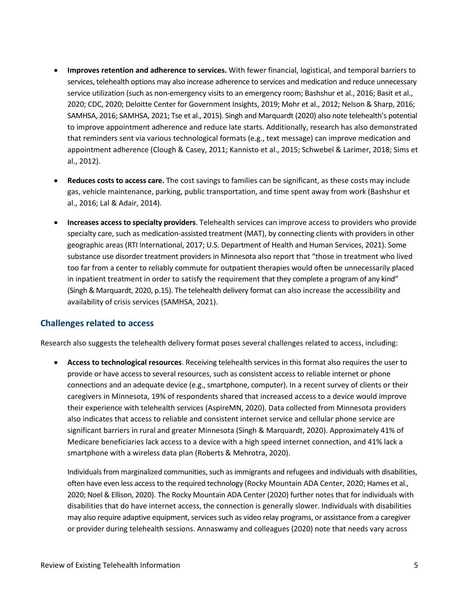- **Improves retention and adherence to services.** With fewer financial, logistical, and temporal barriers to services, telehealth options may also increase adherence to services and medication and reduce unnecessary service utilization (such as non-emergency visits to an emergency room; Bashshur et al., 2016; Basit et al., 2020; CDC, 2020; Deloitte Center for Government Insights, 2019; Mohr et al., 2012; Nelson & Sharp, 2016; SAMHSA, 2016; SAMHSA, 2021; Tse et al., 2015). Singh and Marquardt (2020) also note telehealth's potential to improve appointment adherence and reduce late starts. Additionally, research has also demonstrated that reminders sent via various technological formats (e.g., text message) can improve medication and appointment adherence (Clough & Casey, 2011; Kannisto et al., 2015; Schwebel & Larimer, 2018; Sims et al., 2012).
- **Reduces costs to access care.** The cost savings to families can be significant, as these costs may include gas, vehicle maintenance, parking, public transportation, and time spent away from work (Bashshur et al., 2016; Lal & Adair, 2014).
- **Increases access to specialty providers**. Telehealth services can improve access to providers who provide specialty care, such as medication-assisted treatment (MAT), by connecting clients with providers in other geographic areas (RTI International, 2017; U.S. Department of Health and Human Services, 2021). Some substance use disorder treatment providers in Minnesota also report that "those in treatment who lived too far from a center to reliably commute for outpatient therapies would often be unnecessarily placed in inpatient treatment in order to satisfy the requirement that they complete a program of any kind" (Singh & Marquardt, 2020, p.15). The telehealth delivery format can also increase the accessibility and availability of crisis services (SAMHSA, 2021).

#### <span id="page-6-0"></span>**Challenges related to access**

Research also suggests the telehealth delivery format poses several challenges related to access, including:

• **Access to technological resources**. Receiving telehealth services in this format also requires the user to provide or have access to several resources, such as consistent access to reliable internet or phone connections and an adequate device (e.g., smartphone, computer). In a recent survey of clients or their caregivers in Minnesota, 19% of respondents shared that increased access to a device would improve their experience with telehealth services (AspireMN, 2020). Data collected from Minnesota providers also indicates that access to reliable and consistent internet service and cellular phone service are significant barriers in rural and greater Minnesota (Singh & Marquardt, 2020). Approximately 41% of Medicare beneficiaries lack access to a device with a high speed internet connection, and 41% lack a smartphone with a wireless data plan (Roberts & Mehrotra, 2020).

Individuals from marginalized communities, such as immigrants and refugees and individuals with disabilities, often have even less access to the required technology (Rocky Mountain ADA Center, 2020; Hames et al., 2020; Noel & Ellison, 2020). The Rocky Mountain ADA Center (2020) further notes that for individuals with disabilities that do have internet access, the connection is generally slower. Individuals with disabilities may also require adaptive equipment, services such as video relay programs, or assistance from a caregiver or provider during telehealth sessions. Annaswamy and colleagues (2020) note that needs vary across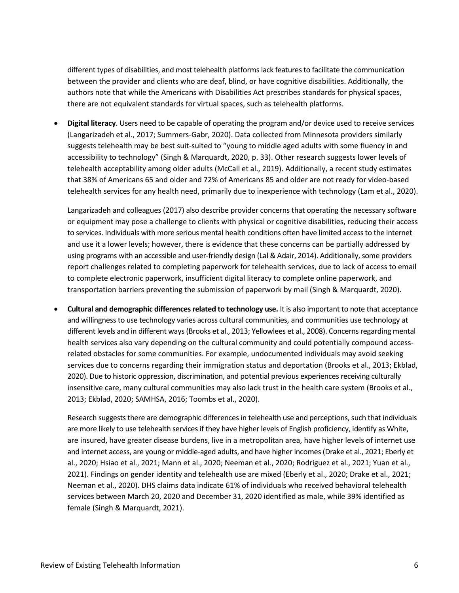different types of disabilities, and most telehealth platforms lack features to facilitate the communication between the provider and clients who are deaf, blind, or have cognitive disabilities. Additionally, the authors note that while the Americans with Disabilities Act prescribes standards for physical spaces, there are not equivalent standards for virtual spaces, such as telehealth platforms.

• **Digital literacy**. Users need to be capable of operating the program and/or device used to receive services (Langarizadeh et al., 2017; Summers-Gabr, 2020). Data collected from Minnesota providers similarly suggests telehealth may be best suit-suited to "young to middle aged adults with some fluency in and accessibility to technology" (Singh & Marquardt, 2020, p. 33). Other research suggests lower levels of telehealth acceptability among older adults (McCall et al., 2019). Additionally, a recent study estimates that 38% of Americans 65 and older and 72% of Americans 85 and older are not ready for video-based telehealth services for any health need, primarily due to inexperience with technology (Lam et al., 2020).

Langarizadeh and colleagues (2017) also describe provider concerns that operating the necessary software or equipment may pose a challenge to clients with physical or cognitive disabilities, reducing their access to services. Individuals with more serious mental health conditions often have limited access to the internet and use it a lower levels; however, there is evidence that these concerns can be partially addressed by using programs with an accessible and user-friendly design (Lal & Adair, 2014). Additionally, some providers report challenges related to completing paperwork for telehealth services, due to lack of access to email to complete electronic paperwork, insufficient digital literacy to complete online paperwork, and transportation barriers preventing the submission of paperwork by mail (Singh & Marquardt, 2020).

• **Cultural and demographic differences related to technology use.** It is also important to note that acceptance and willingness to use technology varies across cultural communities, and communities use technology at different levels and in different ways (Brooks et al., 2013; Yellowlees et al., 2008). Concerns regarding mental health services also vary depending on the cultural community and could potentially compound accessrelated obstacles for some communities. For example, undocumented individuals may avoid seeking services due to concerns regarding their immigration status and deportation (Brooks et al., 2013; Ekblad, 2020). Due to historic oppression, discrimination, and potential previous experiences receiving culturally insensitive care, many cultural communities may also lack trust in the health care system (Brooks et al., 2013; Ekblad, 2020; SAMHSA, 2016; Toombs et al., 2020).

Research suggests there are demographic differences in telehealth use and perceptions, such that individuals are more likely to use telehealth services if they have higher levels of English proficiency, identify as White, are insured, have greater disease burdens, live in a metropolitan area, have higher levels of internet use and internet access, are young or middle-aged adults, and have higher incomes (Drake et al., 2021; Eberly et al., 2020; Hsiao et al., 2021; Mann et al., 2020; Neeman et al., 2020; Rodriguez et al., 2021; Yuan et al., 2021). Findings on gender identity and telehealth use are mixed (Eberly et al., 2020; Drake et al., 2021; Neeman et al., 2020). DHS claims data indicate 61% of individuals who received behavioral telehealth services between March 20, 2020 and December 31, 2020 identified as male, while 39% identified as female (Singh & Marquardt, 2021).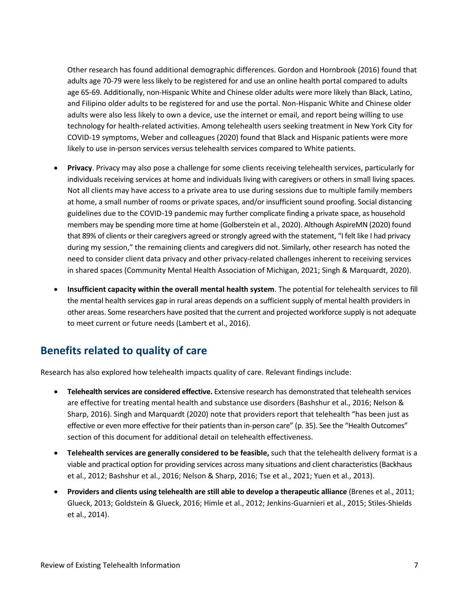Other research has found additional demographic differences. Gordon and Hornbrook (2016) found that adults age 70-79 were less likely to be registered for and use an online health portal compared to adults age 65-69. Additionally, non-Hispanic White and Chinese older adults were more likely than Black, Latino, and Filipino older adults to be registered for and use the portal. Non-Hispanic White and Chinese older adults were also less likely to own a device, use the internet or email, and report being willing to use technology for health-related activities. Among telehealth users seeking treatment in New York City for COVID-19 symptoms, Weber and colleagues (2020) found that Black and Hispanic patients were more likely to use in-person services versus telehealth services compared to White patients.

- **Privacy**. Privacy may also pose a challenge for some clients receiving telehealth services, particularly for individuals receiving services at home and individuals living with caregivers or others in small living spaces. Not all clients may have access to a private area to use during sessions due to multiple family members at home, a small number of rooms or private spaces, and/or insufficient sound proofing. Social distancing guidelines due to the COVID-19 pandemic may further complicate finding a private space, as household members may be spending more time at home (Golberstein et al., 2020). Although AspireMN (2020) found that 89% of clients or their caregivers agreed or strongly agreed with the statement, "I felt like I had privacy during my session," the remaining clients and caregivers did not. Similarly, other research has noted the need to consider client data privacy and other privacy-related challenges inherent to receiving services in shared spaces (Community Mental Health Association of Michigan, 2021; Singh & Marquardt, 2020).
- **Insufficient capacity within the overall mental health system**. The potential for telehealth services to fill the mental health services gap in rural areas depends on a sufficient supply of mental health providers in other areas. Some researchers have posited that the current and projected workforce supply is not adequate to meet current or future needs (Lambert et al., 2016).

#### <span id="page-8-0"></span>**Benefits related to quality of care**

Research has also explored how telehealth impacts quality of care. Relevant findings include:

- **Telehealth services are considered effective.** Extensive research has demonstrated that telehealth services are effective for treating mental health and substance use disorders (Bashshur et al., 2016; Nelson & Sharp, 2016). Singh and Marquardt (2020) note that providers report that telehealth "has been just as effective or even more effective for their patients than in-person care" (p. 35). See the "Health Outcomes" section of this document for additional detail on telehealth effectiveness.
- **Telehealth services are generally considered to be feasible,** such that the telehealth delivery format is a viable and practical option for providing services across many situations and client characteristics(Backhaus et al., 2012; Bashshur et al., 2016; Nelson & Sharp, 2016; Tse et al., 2021; Yuen et al., 2013).
- **Providers and clients using telehealth are still able to develop a therapeutic alliance** (Brenes et al., 2011; Glueck, 2013; Goldstein & Glueck, 2016; Himle et al., 2012; Jenkins-Guarnieri et al., 2015; Stiles-Shields et al., 2014).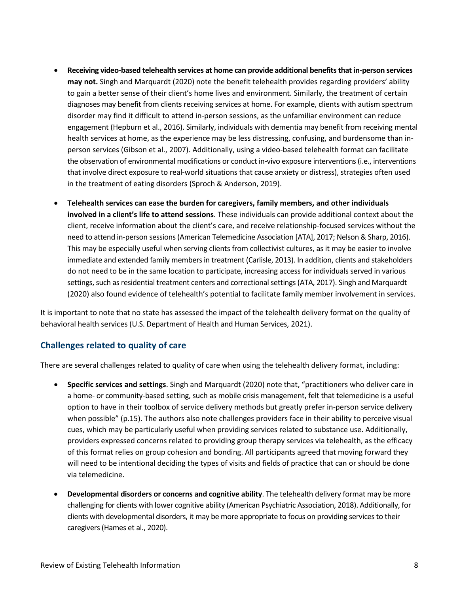- **Receiving video-based telehealth services at home can provide additional benefitsthat in-person services may not.** Singh and Marquardt (2020) note the benefit telehealth provides regarding providers' ability to gain a better sense of their client's home lives and environment. Similarly, the treatment of certain diagnoses may benefit from clients receiving services at home. For example, clients with autism spectrum disorder may find it difficult to attend in-person sessions, as the unfamiliar environment can reduce engagement (Hepburn et al., 2016). Similarly, individuals with dementia may benefit from receiving mental health services at home, as the experience may be less distressing, confusing, and burdensome than inperson services (Gibson et al., 2007). Additionally, using a video-based telehealth format can facilitate the observation of environmental modifications or conduct in-vivo exposure interventions(i.e., interventions that involve direct exposure to real-world situations that cause anxiety or distress), strategies often used in the treatment of eating disorders (Sproch & Anderson, 2019).
- **Telehealth services can ease the burden for caregivers, family members, and other individuals involved in a client's life to attend sessions**. These individuals can provide additional context about the client, receive information about the client's care, and receive relationship-focused services without the need to attend in-person sessions (American Telemedicine Association [ATA], 2017; Nelson & Sharp, 2016). This may be especially useful when serving clients from collectivist cultures, as it may be easier to involve immediate and extended family members in treatment (Carlisle, 2013). In addition, clients and stakeholders do not need to be in the same location to participate, increasing access for individuals served in various settings, such as residential treatment centers and correctional settings (ATA, 2017). Singh and Marquardt (2020) also found evidence of telehealth's potential to facilitate family member involvement in services.

It is important to note that no state has assessed the impact of the telehealth delivery format on the quality of behavioral health services (U.S. Department of Health and Human Services, 2021).

#### <span id="page-9-0"></span>**Challenges related to quality of care**

There are several challenges related to quality of care when using the telehealth delivery format, including:

- **Specific services and settings**. Singh and Marquardt (2020) note that, "practitioners who deliver care in a home- or community-based setting, such as mobile crisis management, felt that telemedicine is a useful option to have in their toolbox of service delivery methods but greatly prefer in-person service delivery when possible" (p.15). The authors also note challenges providers face in their ability to perceive visual cues, which may be particularly useful when providing services related to substance use. Additionally, providers expressed concerns related to providing group therapy services via telehealth, as the efficacy of this format relies on group cohesion and bonding. All participants agreed that moving forward they will need to be intentional deciding the types of visits and fields of practice that can or should be done via telemedicine.
- **Developmental disorders or concerns and cognitive ability**. The telehealth delivery format may be more challenging for clients with lower cognitive ability (American Psychiatric Association, 2018). Additionally, for clients with developmental disorders, it may be more appropriate to focus on providing services to their caregivers (Hames et al., 2020).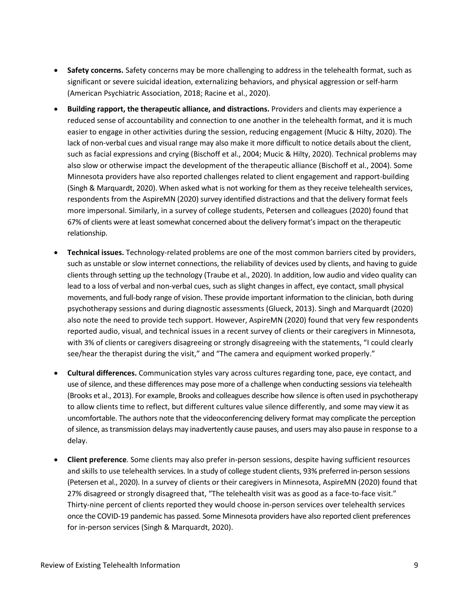- **Safety concerns.** Safety concerns may be more challenging to address in the telehealth format, such as significant or severe suicidal ideation, externalizing behaviors, and physical aggression or self-harm (American Psychiatric Association, 2018; Racine et al., 2020).
- **Building rapport, the therapeutic alliance, and distractions.** Providers and clients may experience a reduced sense of accountability and connection to one another in the telehealth format, and it is much easier to engage in other activities during the session, reducing engagement (Mucic & Hilty, 2020). The lack of non-verbal cues and visual range may also make it more difficult to notice details about the client, such as facial expressions and crying (Bischoff et al., 2004; Mucic & Hilty, 2020). Technical problems may also slow or otherwise impact the development of the therapeutic alliance (Bischoff et al., 2004). Some Minnesota providers have also reported challenges related to client engagement and rapport-building (Singh & Marquardt, 2020). When asked what is not working for them as they receive telehealth services, respondents from the AspireMN (2020) survey identified distractions and that the delivery format feels more impersonal. Similarly, in a survey of college students, Petersen and colleagues (2020) found that 67% of clients were at least somewhat concerned about the delivery format's impact on the therapeutic relationship.
- **Technical issues.** Technology-related problems are one of the most common barriers cited by providers, such as unstable or slow internet connections, the reliability of devices used by clients, and having to guide clients through setting up the technology (Traube et al., 2020). In addition, low audio and video quality can lead to a loss of verbal and non-verbal cues, such as slight changes in affect, eye contact, small physical movements, and full-body range of vision. These provide important information to the clinician, both during psychotherapy sessions and during diagnostic assessments (Glueck, 2013). Singh and Marquardt (2020) also note the need to provide tech support. However, AspireMN (2020) found that very few respondents reported audio, visual, and technical issues in a recent survey of clients or their caregivers in Minnesota, with 3% of clients or caregivers disagreeing or strongly disagreeing with the statements, "I could clearly see/hear the therapist during the visit," and "The camera and equipment worked properly."
- **Cultural differences.** Communication styles vary across cultures regarding tone, pace, eye contact, and use of silence, and these differences may pose more of a challenge when conducting sessions via telehealth (Brooks et al., 2013). For example, Brooks and colleagues describe how silence is often used in psychotherapy to allow clients time to reflect, but different cultures value silence differently, and some may view it as uncomfortable. The authors note that the videoconferencing delivery format may complicate the perception of silence, as transmission delays may inadvertently cause pauses, and users may also pause in response to a delay.
- **Client preference**. Some clients may also prefer in-person sessions, despite having sufficient resources and skills to use telehealth services. In a study of college student clients, 93% preferred in-person sessions (Petersen et al., 2020). In a survey of clients or their caregivers in Minnesota, AspireMN (2020) found that 27% disagreed or strongly disagreed that, "The telehealth visit was as good as a face-to-face visit." Thirty-nine percent of clients reported they would choose in-person services over telehealth services once the COVID-19 pandemic has passed. Some Minnesota providers have also reported client preferences for in-person services (Singh & Marquardt, 2020).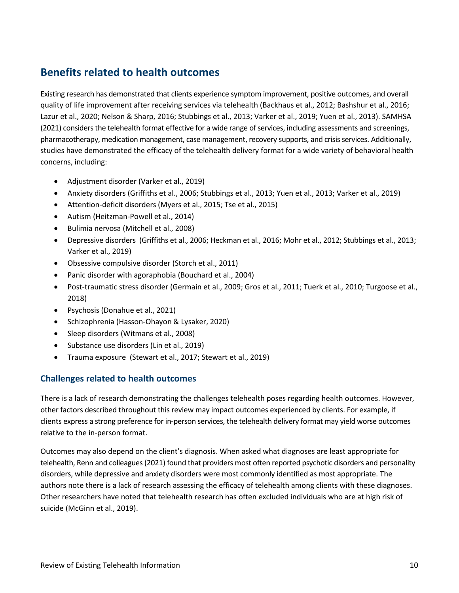## <span id="page-11-0"></span>**Benefits related to health outcomes**

Existing research has demonstrated that clients experience symptom improvement, positive outcomes, and overall quality of life improvement after receiving services via telehealth (Backhaus et al., 2012; Bashshur et al., 2016; Lazur et al., 2020; Nelson & Sharp, 2016; Stubbings et al., 2013; Varker et al., 2019; Yuen et al., 2013). SAMHSA (2021) considers the telehealth format effective for a wide range of services, including assessments and screenings, pharmacotherapy, medication management, case management, recovery supports, and crisis services. Additionally, studies have demonstrated the efficacy of the telehealth delivery format for a wide variety of behavioral health concerns, including:

- Adjustment disorder (Varker et al., 2019)
- Anxiety disorders (Griffiths et al., 2006; Stubbings et al., 2013; Yuen et al., 2013; Varker et al., 2019)
- Attention-deficit disorders (Myers et al., 2015; Tse et al., 2015)
- Autism (Heitzman-Powell et al., 2014)
- Bulimia nervosa (Mitchell et al., 2008)
- Depressive disorders (Griffiths et al., 2006; Heckman et al., 2016; Mohr et al., 2012; Stubbings et al., 2013; Varker et al., 2019)
- Obsessive compulsive disorder (Storch et al., 2011)
- Panic disorder with agoraphobia (Bouchard et al., 2004)
- Post-traumatic stress disorder (Germain et al., 2009; Gros et al., 2011; Tuerk et al., 2010; Turgoose et al., 2018)
- Psychosis (Donahue et al., 2021)
- Schizophrenia (Hasson-Ohayon & Lysaker, 2020)
- Sleep disorders (Witmans et al., 2008)
- Substance use disorders (Lin et al., 2019)
- Trauma exposure (Stewart et al., 2017; Stewart et al., 2019)

#### <span id="page-11-1"></span>**Challenges related to health outcomes**

There is a lack of research demonstrating the challenges telehealth poses regarding health outcomes. However, other factors described throughout this review may impact outcomes experienced by clients. For example, if clients express a strong preference for in-person services, the telehealth delivery format may yield worse outcomes relative to the in-person format.

Outcomes may also depend on the client's diagnosis. When asked what diagnoses are least appropriate for telehealth, Renn and colleagues (2021) found that providers most often reported psychotic disorders and personality disorders, while depressive and anxiety disorders were most commonly identified as most appropriate. The authors note there is a lack of research assessing the efficacy of telehealth among clients with these diagnoses. Other researchers have noted that telehealth research has often excluded individuals who are at high risk of suicide (McGinn et al., 2019).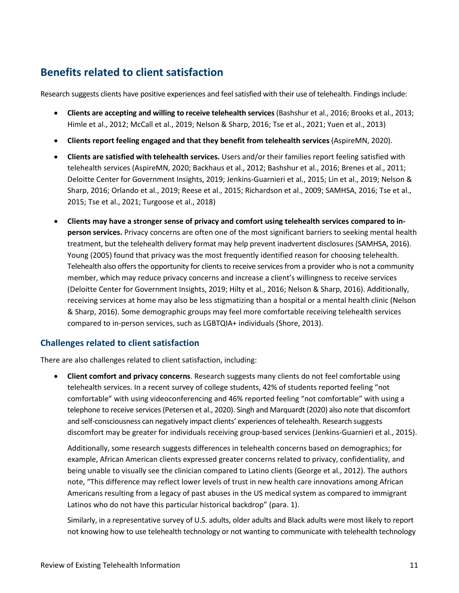# <span id="page-12-0"></span>**Benefits related to client satisfaction**

Research suggests clients have positive experiences and feel satisfied with their use of telehealth. Findings include:

- **Clients are accepting and willing to receive telehealth services**(Bashshur et al., 2016; Brooks et al., 2013; Himle et al., 2012; McCall et al., 2019; Nelson & Sharp, 2016; Tse et al., 2021; Yuen et al., 2013)
- **Clients report feeling engaged and that they benefit from telehealth services** (AspireMN, 2020).
- **Clients are satisfied with telehealth services.** Users and/or their families report feeling satisfied with telehealth services (AspireMN, 2020; Backhaus et al., 2012; Bashshur et al., 2016; Brenes et al., 2011; Deloitte Center for Government Insights, 2019; Jenkins-Guarnieri et al., 2015; Lin et al., 2019; Nelson & Sharp, 2016; Orlando et al., 2019; Reese et al., 2015; Richardson et al., 2009; SAMHSA, 2016; Tse et al., 2015; Tse et al., 2021; Turgoose et al., 2018)
- **Clients may have a stronger sense of privacy and comfort using telehealth services compared to inperson services.** Privacy concerns are often one of the most significant barriers to seeking mental health treatment, but the telehealth delivery format may help prevent inadvertent disclosures (SAMHSA, 2016). Young (2005) found that privacy was the most frequently identified reason for choosing telehealth. Telehealth also offers the opportunity for clients to receive services from a provider who is not a community member, which may reduce privacy concerns and increase a client's willingness to receive services (Deloitte Center for Government Insights, 2019; Hilty et al., 2016; Nelson & Sharp, 2016). Additionally, receiving services at home may also be less stigmatizing than a hospital or a mental health clinic (Nelson & Sharp, 2016). Some demographic groups may feel more comfortable receiving telehealth services compared to in-person services, such as LGBTQIA+ individuals (Shore, 2013).

#### <span id="page-12-1"></span>**Challenges related to client satisfaction**

There are also challenges related to client satisfaction, including:

• **Client comfort and privacy concerns**. Research suggests many clients do not feel comfortable using telehealth services. In a recent survey of college students, 42% of students reported feeling "not comfortable" with using videoconferencing and 46% reported feeling "not comfortable" with using a telephone to receive services (Petersen et al., 2020). Singh and Marquardt (2020) also note that discomfort and self-consciousness can negatively impact clients' experiences of telehealth. Research suggests discomfort may be greater for individuals receiving group-based services (Jenkins-Guarnieri et al., 2015).

Additionally, some research suggests differences in telehealth concerns based on demographics; for example, African American clients expressed greater concerns related to privacy, confidentiality, and being unable to visually see the clinician compared to Latino clients (George et al., 2012). The authors note, "This difference may reflect lower levels of trust in new health care innovations among African Americans resulting from a legacy of past abuses in the US medical system as compared to immigrant Latinos who do not have this particular historical backdrop" (para. 1).

Similarly, in a representative survey of U.S. adults, older adults and Black adults were most likely to report not knowing how to use telehealth technology or not wanting to communicate with telehealth technology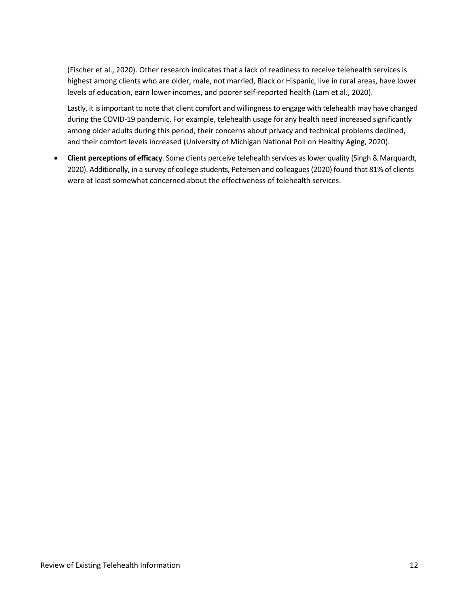(Fischer et al., 2020). Other research indicates that a lack of readiness to receive telehealth services is highest among clients who are older, male, not married, Black or Hispanic, live in rural areas, have lower levels of education, earn lower incomes, and poorer self-reported health (Lam et al., 2020).

Lastly, it is important to note that client comfort and willingness to engage with telehealth may have changed during the COVID-19 pandemic. For example, telehealth usage for any health need increased significantly among older adults during this period, their concerns about privacy and technical problems declined, and their comfort levels increased (University of Michigan National Poll on Healthy Aging, 2020).

• **Client perceptions of efficacy**. Some clients perceive telehealth services as lower quality (Singh & Marquardt, 2020). Additionally, in a survey of college students, Petersen and colleagues (2020) found that 81% of clients were at least somewhat concerned about the effectiveness of telehealth services.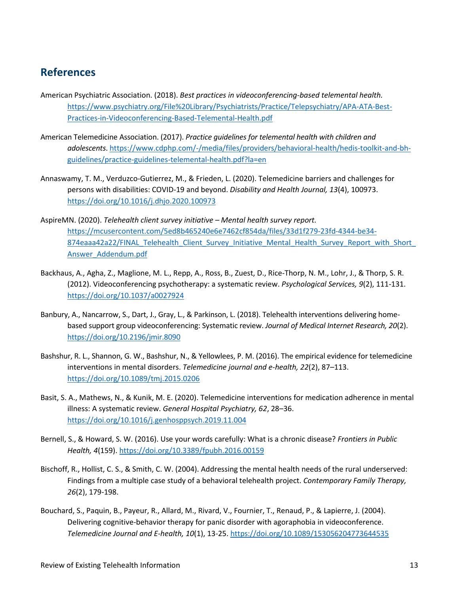## <span id="page-14-0"></span>**References**

- American Psychiatric Association. (2018). *Best practices in videoconferencing-based telemental health.* [https://www.psychiatry.org/File%20Library/Psychiatrists/Practice/Telepsychiatry/APA-ATA-Best-](https://www.psychiatry.org/File%20Library/Psychiatrists/Practice/Telepsychiatry/APA-ATA-Best-Practices-in-Videoconferencing-Based-Telemental-Health.pdf)[Practices-in-Videoconferencing-Based-Telemental-Health.pdf](https://www.psychiatry.org/File%20Library/Psychiatrists/Practice/Telepsychiatry/APA-ATA-Best-Practices-in-Videoconferencing-Based-Telemental-Health.pdf)
- American Telemedicine Association. (2017). *Practice guidelines for telemental health with children and adolescents*[. https://www.cdphp.com/-/media/files/providers/behavioral-health/hedis-toolkit-and-bh](https://www.cdphp.com/-/media/files/providers/behavioral-health/hedis-toolkit-and-bh-guidelines/practice-guidelines-telemental-health.pdf?la=en)[guidelines/practice-guidelines-telemental-health.pdf?la=en](https://www.cdphp.com/-/media/files/providers/behavioral-health/hedis-toolkit-and-bh-guidelines/practice-guidelines-telemental-health.pdf?la=en)
- Annaswamy, T. M., Verduzco-Gutierrez, M., & Frieden, L. (2020). Telemedicine barriers and challenges for persons with disabilities: COVID-19 and beyond. *Disability and Health Journal, 13*(4), 100973. <https://doi.org/10.1016/j.dhjo.2020.100973>
- AspireMN. (2020). *Telehealth client survey initiative – Mental health survey report.* [https://mcusercontent.com/5ed8b465240e6e7462cf854da/files/33d1f279-23fd-4344-be34-](https://mcusercontent.com/5ed8b465240e6e7462cf854da/files/33d1f279-23fd-4344-be34-874eaaa42a22/FINAL_Telehealth_Client_Survey_Initiative_Mental_Health_Survey_Report_with_Short_Answer_Addendum.pdf) [874eaaa42a22/FINAL\\_Telehealth\\_Client\\_Survey\\_Initiative\\_Mental\\_Health\\_Survey\\_Report\\_with\\_Short\\_](https://mcusercontent.com/5ed8b465240e6e7462cf854da/files/33d1f279-23fd-4344-be34-874eaaa42a22/FINAL_Telehealth_Client_Survey_Initiative_Mental_Health_Survey_Report_with_Short_Answer_Addendum.pdf) [Answer\\_Addendum.pdf](https://mcusercontent.com/5ed8b465240e6e7462cf854da/files/33d1f279-23fd-4344-be34-874eaaa42a22/FINAL_Telehealth_Client_Survey_Initiative_Mental_Health_Survey_Report_with_Short_Answer_Addendum.pdf)
- Backhaus, A., Agha, Z., Maglione, M. L., Repp, A., Ross, B., Zuest, D., Rice-Thorp, N. M., Lohr, J., & Thorp, S. R. (2012). Videoconferencing psychotherapy: a systematic review. *Psychological Services, 9*(2), 111-131. <https://doi.org/10.1037/a0027924>
- Banbury, A., Nancarrow, S., Dart, J., Gray, L., & Parkinson, L. (2018). Telehealth interventions delivering homebased support group videoconferencing: Systematic review. *Journal of Medical Internet Research, 20*(2). <https://doi.org/10.2196/jmir.8090>
- Bashshur, R. L., Shannon, G. W., Bashshur, N., & Yellowlees, P. M. (2016). The empirical evidence for telemedicine interventions in mental disorders. *Telemedicine journal and e-health, 22*(2), 87–113. <https://doi.org/10.1089/tmj.2015.0206>
- Basit, S. A., Mathews, N., & Kunik, M. E. (2020). Telemedicine interventions for medication adherence in mental illness: A systematic review. *General Hospital Psychiatry, 62*, 28–36. <https://doi.org/10.1016/j.genhosppsych.2019.11.004>
- Bernell, S., & Howard, S. W. (2016). Use your words carefully: What is a chronic disease? *Frontiers in Public Health, 4*(159).<https://doi.org/10.3389/fpubh.2016.00159>
- Bischoff, R., Hollist, C. S., & Smith, C. W. (2004). Addressing the mental health needs of the rural underserved: Findings from a multiple case study of a behavioral telehealth project. *Contemporary Family Therapy, 26*(2), 179-198.
- Bouchard, S., Paquin, B., Payeur, R., Allard, M., Rivard, V., Fournier, T., Renaud, P., & Lapierre, J. (2004). Delivering cognitive-behavior therapy for panic disorder with agoraphobia in videoconference. *Telemedicine Journal and E-health, 10*(1), 13-25.<https://doi.org/10.1089/153056204773644535>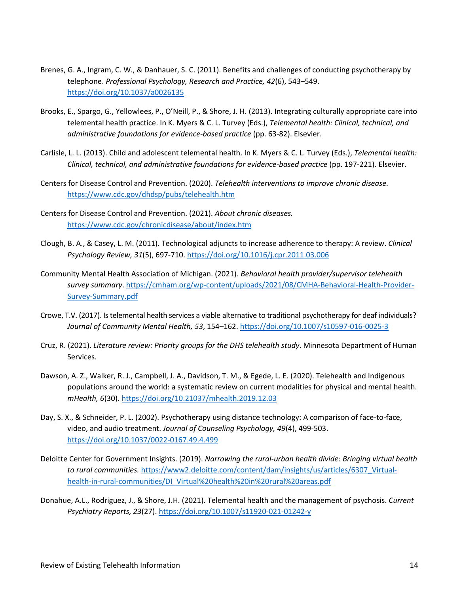- Brenes, G. A., Ingram, C. W., & Danhauer, S. C. (2011). Benefits and challenges of conducting psychotherapy by telephone. *Professional Psychology, Research and Practice, 42*(6), 543–549. <https://doi.org/10.1037/a0026135>
- Brooks, E., Spargo, G., Yellowlees, P., O'Neill, P., & Shore, J. H. (2013). Integrating culturally appropriate care into telemental health practice. In K. Myers & C. L. Turvey (Eds.), *Telemental health: Clinical, technical, and administrative foundations for evidence-based practice* (pp. 63-82). Elsevier.
- Carlisle, L. L. (2013). Child and adolescent telemental health. In K. Myers & C. L. Turvey (Eds.), *Telemental health: Clinical, technical, and administrative foundations for evidence-based practice* (pp. 197-221). Elsevier.
- Centers for Disease Control and Prevention. (2020). *Telehealth interventions to improve chronic disease.*  <https://www.cdc.gov/dhdsp/pubs/telehealth.htm>
- Centers for Disease Control and Prevention. (2021). *About chronic diseases.*  <https://www.cdc.gov/chronicdisease/about/index.htm>
- Clough, B. A., & Casey, L. M. (2011). Technological adjuncts to increase adherence to therapy: A review. *Clinical Psychology Review, 31*(5), 697-710[. https://doi.org/10.1016/j.cpr.2011.03.006](https://doi.org/10.1016/j.cpr.2011.03.006)
- Community Mental Health Association of Michigan. (2021). *Behavioral health provider/supervisor telehealth survey summary*. [https://cmham.org/wp-content/uploads/2021/08/CMHA-Behavioral-Health-Provider-](https://cmham.org/wp-content/uploads/2021/08/CMHA-Behavioral-Health-Provider-Survey-Summary.pdf)[Survey-Summary.pdf](https://cmham.org/wp-content/uploads/2021/08/CMHA-Behavioral-Health-Provider-Survey-Summary.pdf)
- Crowe, T.V. (2017). Is telemental health services a viable alternative to traditional psychotherapy for deaf individuals? *Journal of Community Mental Health, 53*, 154–162.<https://doi.org/10.1007/s10597-016-0025-3>
- Cruz, R. (2021). *Literature review: Priority groups for the DHS telehealth study*. Minnesota Department of Human Services.
- Dawson, A. Z., Walker, R. J., Campbell, J. A., Davidson, T. M., & Egede, L. E. (2020). Telehealth and Indigenous populations around the world: a systematic review on current modalities for physical and mental health. *mHealth, 6*(30).<https://doi.org/10.21037/mhealth.2019.12.03>
- Day, S. X., & Schneider, P. L. (2002). Psychotherapy using distance technology: A comparison of face-to-face, video, and audio treatment. *Journal of Counseling Psychology, 49*(4), 499-503. <https://doi.org/10.1037/0022-0167.49.4.499>
- Deloitte Center for Government Insights. (2019). *Narrowing the rural-urban health divide: Bringing virtual health to rural communities.* [https://www2.deloitte.com/content/dam/insights/us/articles/6307\\_Virtual](https://www2.deloitte.com/content/dam/insights/us/articles/6307_Virtual-health-in-rural-communities/DI_Virtual%20health%20in%20rural%20areas.pdf)[health-in-rural-communities/DI\\_Virtual%20health%20in%20rural%20areas.pdf](https://www2.deloitte.com/content/dam/insights/us/articles/6307_Virtual-health-in-rural-communities/DI_Virtual%20health%20in%20rural%20areas.pdf)
- Donahue, A.L., Rodriguez, J., & Shore, J.H. (2021). Telemental health and the management of psychosis. *Current Psychiatry Reports, 23*(27). <https://doi.org/10.1007/s11920-021-01242-y>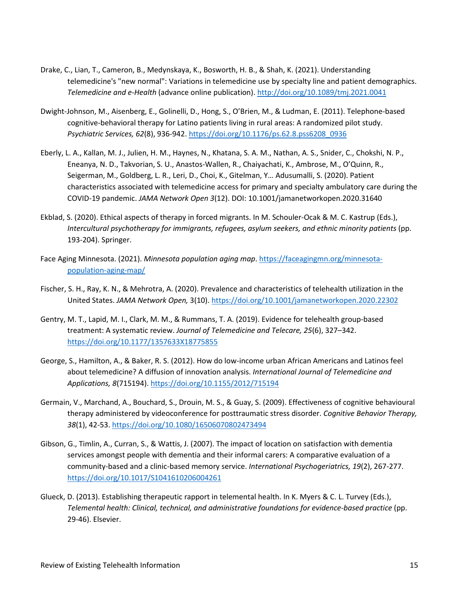- Drake, C., Lian, T., Cameron, B., Medynskaya, K., Bosworth, H. B., & Shah, K. (2021). Understanding telemedicine's "new normal": Variations in telemedicine use by specialty line and patient demographics. *Telemedicine and e-Health* (advance online publication). [http://doi.org/10.1089/tmj.2021.0041](https://doi.org/10.1089/tmj.2021.0041)
- Dwight-Johnson, M., Aisenberg, E., Golinelli, D., Hong, S., O'Brien, M., & Ludman, E. (2011). Telephone-based cognitive-behavioral therapy for Latino patients living in rural areas: A randomized pilot study. *Psychiatric Services, 62*(8), 936-942. [https://doi.org/10.1176/ps.62.8.pss6208\\_0936](https://doi.org/10.1176/ps.62.8.pss6208_0936)
- Eberly, L. A., Kallan, M. J., Julien, H. M., Haynes, N., Khatana, S. A. M., Nathan, A. S., Snider, C., Chokshi, N. P., Eneanya, N. D., Takvorian, S. U., Anastos-Wallen, R., Chaiyachati, K., Ambrose, M., O'Quinn, R., Seigerman, M., Goldberg, L. R., Leri, D., Choi, K., Gitelman, Y… Adusumalli, S. (2020). Patient characteristics associated with telemedicine access for primary and specialty ambulatory care during the COVID-19 pandemic. *JAMA Network Open 3*(12). DOI: 10.1001/jamanetworkopen.2020.31640
- Ekblad, S. (2020). Ethical aspects of therapy in forced migrants. In M. Schouler-Ocak & M. C. Kastrup (Eds.), *Intercultural psychotherapy for immigrants, refugees, asylum seekers, and ethnic minority patients* (pp. 193-204). Springer.
- Face Aging Minnesota. (2021). *Minnesota population aging map*. [https://faceagingmn.org/minnesota](https://faceagingmn.org/minnesota-population-aging-map/)[population-aging-map/](https://faceagingmn.org/minnesota-population-aging-map/)
- Fischer, S. H., Ray, K. N., & Mehrotra, A. (2020). Prevalence and characteristics of telehealth utilization in the United States. *JAMA Network Open,* 3(10). https://doi.org/10.1001/jamanetworkopen.2020.22302
- Gentry, M. T., Lapid, M. I., Clark, M. M., & Rummans, T. A. (2019). Evidence for telehealth group-based treatment: A systematic review. *Journal of Telemedicine and Telecare, 25*(6), 327–342. <https://doi.org/10.1177/1357633X18775855>
- George, S., Hamilton, A., & Baker, R. S. (2012). How do low-income urban African Americans and Latinos feel about telemedicine? A diffusion of innovation analysis. *International Journal of Telemedicine and Applications, 8*(715194).<https://doi.org/10.1155/2012/715194>
- Germain, V., Marchand, A., Bouchard, S., Drouin, M. S., & Guay, S. (2009). Effectiveness of cognitive behavioural therapy administered by videoconference for posttraumatic stress disorder. *Cognitive Behavior Therapy, 38*(1), 42-53[. https://doi.org/10.1080/16506070802473494](https://doi.org/10.1080/16506070802473494)
- Gibson, G., Timlin, A., Curran, S., & Wattis, J. (2007). The impact of location on satisfaction with dementia services amongst people with dementia and their informal carers: A comparative evaluation of a community-based and a clinic-based memory service. *International Psychogeriatrics, 19*(2), 267-277. <https://doi.org/10.1017/S1041610206004261>
- Glueck, D. (2013). Establishing therapeutic rapport in telemental health. In K. Myers & C. L. Turvey (Eds.), *Telemental health: Clinical, technical, and administrative foundations for evidence-based practice* (pp. 29-46). Elsevier.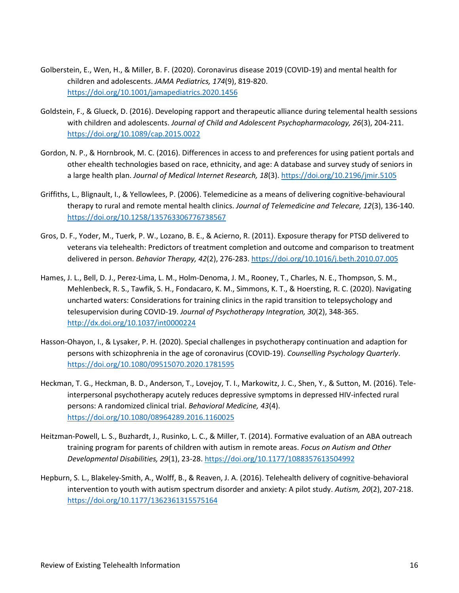- Golberstein, E., Wen, H., & Miller, B. F. (2020). Coronavirus disease 2019 (COVID-19) and mental health for children and adolescents. *JAMA Pediatrics, 174*(9), 819-820. <https://doi.org/10.1001/jamapediatrics.2020.1456>
- Goldstein, F., & Glueck, D. (2016). Developing rapport and therapeutic alliance during telemental health sessions with children and adolescents. *Journal of Child and Adolescent Psychopharmacology, 26*(3), 204-211. <https://doi.org/10.1089/cap.2015.0022>
- Gordon, N. P., & Hornbrook, M. C. (2016). Differences in access to and preferences for using patient portals and other ehealth technologies based on race, ethnicity, and age: A database and survey study of seniors in a large health plan. *Journal of Medical Internet Research, 18*(3).<https://doi.org/10.2196/jmir.5105>
- Griffiths, L., Blignault, I., & Yellowlees, P. (2006). Telemedicine as a means of delivering cognitive-behavioural therapy to rural and remote mental health clinics. *Journal of Telemedicine and Telecare, 12*(3), 136-140. <https://doi.org/10.1258/135763306776738567>
- Gros, D. F., Yoder, M., Tuerk, P. W., Lozano, B. E., & Acierno, R. (2011). Exposure therapy for PTSD delivered to veterans via telehealth: Predictors of treatment completion and outcome and comparison to treatment delivered in person. *Behavior Therapy, 42*(2), 276-283. <https://doi.org/10.1016/j.beth.2010.07.005>
- Hames, J. L., Bell, D. J., Perez-Lima, L. M., Holm-Denoma, J. M., Rooney, T., Charles, N. E., Thompson, S. M., Mehlenbeck, R. S., Tawfik, S. H., Fondacaro, K. M., Simmons, K. T., & Hoersting, R. C. (2020). Navigating uncharted waters: Considerations for training clinics in the rapid transition to telepsychology and telesupervision during COVID-19. *Journal of Psychotherapy Integration, 30*(2), 348-365. <http://dx.doi.org/10.1037/int0000224>
- Hasson-Ohayon, I., & Lysaker, P. H. (2020). Special challenges in psychotherapy continuation and adaption for persons with schizophrenia in the age of coronavirus (COVID-19). *Counselling Psychology Quarterly*. <https://doi.org/10.1080/09515070.2020.1781595>
- Heckman, T. G., Heckman, B. D., Anderson, T., Lovejoy, T. I., Markowitz, J. C., Shen, Y., & Sutton, M. (2016). Teleinterpersonal psychotherapy acutely reduces depressive symptoms in depressed HIV-infected rural persons: A randomized clinical trial. *Behavioral Medicine, 43*(4). <https://doi.org/10.1080/08964289.2016.1160025>
- Heitzman-Powell, L. S., Buzhardt, J., Rusinko, L. C., & Miller, T. (2014). Formative evaluation of an ABA outreach training program for parents of children with autism in remote areas. *Focus on Autism and Other Developmental Disabilities, 29*(1), 23-28.<https://doi.org/10.1177/1088357613504992>
- Hepburn, S. L., Blakeley-Smith, A., Wolff, B., & Reaven, J. A. (2016). Telehealth delivery of cognitive-behavioral intervention to youth with autism spectrum disorder and anxiety: A pilot study. *Autism, 20*(2), 207-218. <https://doi.org/10.1177/1362361315575164>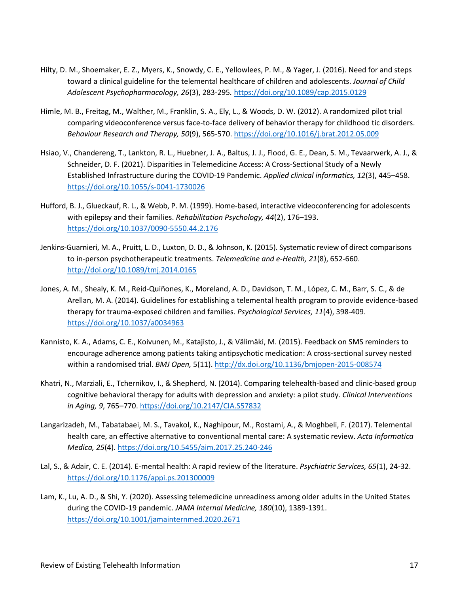- Hilty, D. M., Shoemaker, E. Z., Myers, K., Snowdy, C. E., Yellowlees, P. M., & Yager, J. (2016). Need for and steps toward a clinical guideline for the telemental healthcare of children and adolescents. *Journal of Child Adolescent Psychopharmacology, 26*(3), 283-295*.* <https://doi.org/10.1089/cap.2015.0129>
- Himle, M. B., Freitag, M., Walther, M., Franklin, S. A., Ely, L., & Woods, D. W. (2012). A randomized pilot trial comparing videoconference versus face-to-face delivery of behavior therapy for childhood tic disorders. *Behaviour Research and Therapy, 50*(9), 565-570.<https://doi.org/10.1016/j.brat.2012.05.009>
- Hsiao, V., Chandereng, T., Lankton, R. L., Huebner, J. A., Baltus, J. J., Flood, G. E., Dean, S. M., Tevaarwerk, A. J., & Schneider, D. F. (2021). Disparities in Telemedicine Access: A Cross-Sectional Study of a Newly Established Infrastructure during the COVID-19 Pandemic. *Applied clinical informatics, 12*(3), 445–458. <https://doi.org/10.1055/s-0041-1730026>
- Hufford, B. J., Glueckauf, R. L., & Webb, P. M. (1999). Home-based, interactive videoconferencing for adolescents with epilepsy and their families. *Rehabilitation Psychology, 44*(2), 176–193. <https://doi.org/10.1037/0090-5550.44.2.176>
- Jenkins-Guarnieri, M. A., Pruitt, L. D., Luxton, D. D., & Johnson, K. (2015). Systematic review of direct comparisons to in-person psychotherapeutic treatments. *Telemedicine and e-Health, 21*(8), 652-660. <http://doi.org/10.1089/tmj.2014.0165>
- Jones, A. M., Shealy, K. M., Reid-Quiñones, K., Moreland, A. D., Davidson, T. M., López, C. M., Barr, S. C., & de Arellan, M. A. (2014). Guidelines for establishing a telemental health program to provide evidence-based therapy for trauma-exposed children and families. *Psychological Services, 11*(4), 398-409. <https://doi.org/10.1037/a0034963>
- Kannisto, K. A., Adams, C. E., Koivunen, M., Katajisto, J., & Välimäki, M. (2015). Feedback on SMS reminders to encourage adherence among patients taking antipsychotic medication: A cross-sectional survey nested within a randomised trial. *BMJ Open,* 5(11). <http://dx.doi.org/10.1136/bmjopen-2015-008574>
- Khatri, N., Marziali, E., Tchernikov, I., & Shepherd, N. (2014). Comparing telehealth-based and clinic-based group cognitive behavioral therapy for adults with depression and anxiety: a pilot study. *Clinical Interventions in Aging, 9*, 765–770.<https://doi.org/10.2147/CIA.S57832>
- Langarizadeh, M., Tabatabaei, M. S., Tavakol, K., Naghipour, M., Rostami, A., & Moghbeli, F. (2017). Telemental health care, an effective alternative to conventional mental care: A systematic review. *Acta Informatica Medica, 25*(4).<https://doi.org/10.5455/aim.2017.25.240-246>
- Lal, S., & Adair, C. E. (2014). E-mental health: A rapid review of the literature. *Psychiatric Services, 65*(1), 24-32. <https://doi.org/10.1176/appi.ps.201300009>
- Lam, K., Lu, A. D., & Shi, Y. (2020). Assessing telemedicine unreadiness among older adults in the United States during the COVID-19 pandemic. *JAMA Internal Medicine, 180*(10), 1389-1391. <https://doi.org/10.1001/jamainternmed.2020.2671>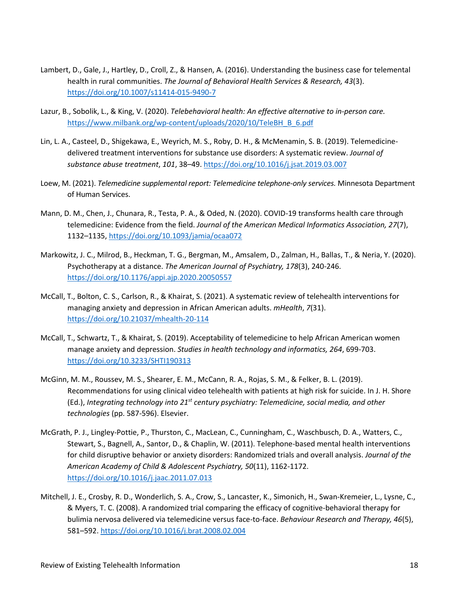- Lambert, D., Gale, J., Hartley, D., Croll, Z., & Hansen, A. (2016). Understanding the business case for telemental health in rural communities. *The Journal of Behavioral Health Services & Research, 43*(3). <https://doi.org/10.1007/s11414-015-9490-7>
- Lazur, B., Sobolik, L., & King, V. (2020). *Telebehavioral health: An effective alternative to in-person care.*  [https://www.milbank.org/wp-content/uploads/2020/10/TeleBH\\_B\\_6.pdf](https://www.milbank.org/wp-content/uploads/2020/10/TeleBH_B_6.pdf)
- Lin, L. A., Casteel, D., Shigekawa, E., Weyrich, M. S., Roby, D. H., & McMenamin, S. B. (2019). Telemedicinedelivered treatment interventions for substance use disorders: A systematic review. *Journal of substance abuse treatment*, *101*, 38–49[. https://doi.org/10.1016/j.jsat.2019.03.007](https://doi.org/10.1016/j.jsat.2019.03.007)
- Loew, M. (2021). *Telemedicine supplemental report: Telemedicine telephone-only services.* Minnesota Department of Human Services.
- Mann, D. M., Chen, J., Chunara, R., Testa, P. A., & Oded, N. (2020). COVID-19 transforms health care through telemedicine: Evidence from the field. *Journal of the American Medical Informatics Association, 27*(7), 1132–1135,<https://doi.org/10.1093/jamia/ocaa072>
- Markowitz, J. C., Milrod, B., Heckman, T. G., Bergman, M., Amsalem, D., Zalman, H., Ballas, T., & Neria, Y. (2020). Psychotherapy at a distance. *The American Journal of Psychiatry, 178*(3), 240-246. <https://doi.org/10.1176/appi.ajp.2020.20050557>
- McCall, T., Bolton, C. S., Carlson, R., & Khairat, S. (2021). A systematic review of telehealth interventions for managing anxiety and depression in African American adults. *mHealth*, *7*(31). <https://doi.org/10.21037/mhealth-20-114>
- McCall, T., Schwartz, T., & Khairat, S. (2019). Acceptability of telemedicine to help African American women manage anxiety and depression. *Studies in health technology and informatics, 264*, 699-703. <https://doi.org/10.3233/SHTI190313>
- McGinn, M. M., Roussev, M. S., Shearer, E. M., McCann, R. A., Rojas, S. M., & Felker, B. L. (2019). Recommendations for using clinical video telehealth with patients at high risk for suicide. In J. H. Shore (Ed.), *Integrating technology into 21st century psychiatry: Telemedicine, social media, and other technologies* (pp. 587-596). Elsevier.
- McGrath, P. J., Lingley-Pottie, P., Thurston, C., MacLean, C., Cunningham, C., Waschbusch, D. A., Watters, C., Stewart, S., Bagnell, A., Santor, D., & Chaplin, W. (2011). Telephone-based mental health interventions for child disruptive behavior or anxiety disorders: Randomized trials and overall analysis. *Journal of the American Academy of Child & Adolescent Psychiatry, 50*(11), 1162-1172. <https://doi.org/10.1016/j.jaac.2011.07.013>
- Mitchell, J. E., Crosby, R. D., Wonderlich, S. A., Crow, S., Lancaster, K., Simonich, H., Swan-Kremeier, L., Lysne, C., & Myers, T. C. (2008). A randomized trial comparing the efficacy of cognitive-behavioral therapy for bulimia nervosa delivered via telemedicine versus face-to-face. *Behaviour Research and Therapy, 46*(5), 581–592.<https://doi.org/10.1016/j.brat.2008.02.004>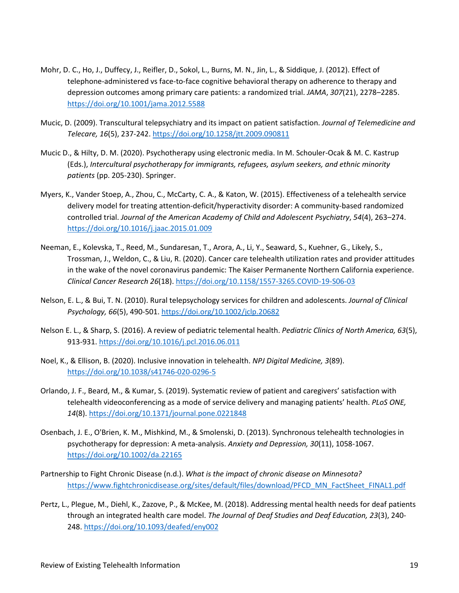- Mohr, D. C., Ho, J., Duffecy, J., Reifler, D., Sokol, L., Burns, M. N., Jin, L., & Siddique, J. (2012). Effect of telephone-administered vs face-to-face cognitive behavioral therapy on adherence to therapy and depression outcomes among primary care patients: a randomized trial. *JAMA*, *307*(21), 2278–2285. <https://doi.org/10.1001/jama.2012.5588>
- Mucic, D. (2009). Transcultural telepsychiatry and its impact on patient satisfaction. *Journal of Telemedicine and Telecare, 16*(5), 237-242[. https://doi.org/10.1258/jtt.2009.090811](https://doi.org/10.1258/jtt.2009.090811)
- Mucic D., & Hilty, D. M. (2020). Psychotherapy using electronic media. In M. Schouler-Ocak & M. C. Kastrup (Eds.), *Intercultural psychotherapy for immigrants, refugees, asylum seekers, and ethnic minority patients* (pp. 205-230). Springer.
- Myers, K., Vander Stoep, A., Zhou, C., McCarty, C. A., & Katon, W. (2015). Effectiveness of a telehealth service delivery model for treating attention-deficit/hyperactivity disorder: A community-based randomized controlled trial. *Journal of the American Academy of Child and Adolescent Psychiatry*, *54*(4), 263–274. <https://doi.org/10.1016/j.jaac.2015.01.009>
- Neeman, E., Kolevska, T., Reed, M., Sundaresan, T., Arora, A., Li, Y., Seaward, S., Kuehner, G., Likely, S., Trossman, J., Weldon, C., & Liu, R. (2020). Cancer care telehealth utilization rates and provider attitudes in the wake of the novel coronavirus pandemic: The Kaiser Permanente Northern California experience. *Clinical Cancer Research 26*(18)[. https://doi.org/10.1158/1557-3265.COVID-19-S06-03](https://doi.org/10.1158/1557-3265.COVID-19-S06-03)
- Nelson, E. L., & Bui, T. N. (2010). Rural telepsychology services for children and adolescents. *Journal of Clinical Psychology, 66*(5), 490-501[. https://doi.org/10.1002/jclp.20682](https://doi.org/10.1002/jclp.20682)
- Nelson E. L., & Sharp, S. (2016). A review of pediatric telemental health. *Pediatric Clinics of North America, 63*(5), 913-931.<https://doi.org/10.1016/j.pcl.2016.06.011>
- Noel, K., & Ellison, B. (2020). Inclusive innovation in telehealth. *NPJ Digital Medicine, 3*(89). <https://doi.org/10.1038/s41746-020-0296-5>
- Orlando, J. F., Beard, M., & Kumar, S. (2019). Systematic review of patient and caregivers' satisfaction with telehealth videoconferencing as a mode of service delivery and managing patients' health. *PLoS ONE, 14*(8)[. https://doi.org/10.1371/journal.pone.0221848](https://doi.org/10.1371/journal.pone.0221848)
- Osenbach, J. E., O'Brien, K. M., Mishkind, M., & Smolenski, D. (2013). Synchronous telehealth technologies in psychotherapy for depression: A meta-analysis. *Anxiety and Depression, 30*(11), 1058-1067. <https://doi.org/10.1002/da.22165>
- Partnership to Fight Chronic Disease (n.d.). *What is the impact of chronic disease on Minnesota?*  [https://www.fightchronicdisease.org/sites/default/files/download/PFCD\\_MN\\_FactSheet\\_FINAL1.pdf](https://www.fightchronicdisease.org/sites/default/files/download/PFCD_MN_FactSheet_FINAL1.pdf)
- Pertz, L., Plegue, M., Diehl, K., Zazove, P., & McKee, M. (2018). Addressing mental health needs for deaf patients through an integrated health care model. *The Journal of Deaf Studies and Deaf Education, 23*(3), 240- 248. <https://doi.org/10.1093/deafed/eny002>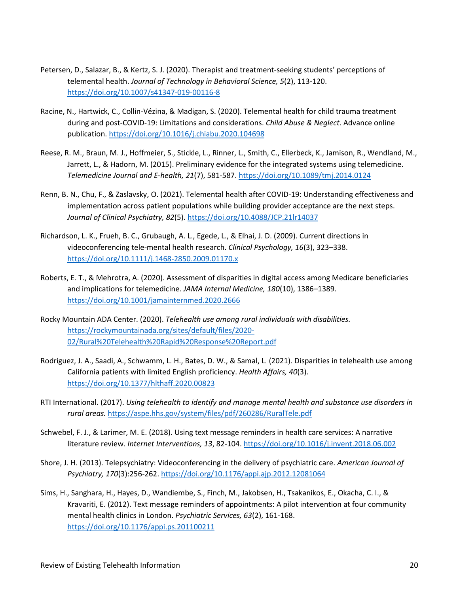- Petersen, D., Salazar, B., & Kertz, S. J. (2020). Therapist and treatment-seeking students' perceptions of telemental health. *Journal of Technology in Behavioral Science, 5*(2), 113-120. <https://doi.org/10.1007/s41347-019-00116-8>
- Racine, N., Hartwick, C., Collin-Vézina, & Madigan, S. (2020). Telemental health for child trauma treatment during and post-COVID-19: Limitations and considerations. *Child Abuse & Neglect*. Advance online publication.<https://doi.org/10.1016/j.chiabu.2020.104698>
- Reese, R. M., Braun, M. J., Hoffmeier, S., Stickle, L., Rinner, L., Smith, C., Ellerbeck, K., Jamison, R., Wendland, M., Jarrett, L., & Hadorn, M. (2015). Preliminary evidence for the integrated systems using telemedicine. *Telemedicine Journal and E-health, 21*(7), 581-587[. https://doi.org/10.1089/tmj.2014.0124](https://doi.org/10.1089/tmj.2014.0124)
- Renn, B. N., Chu, F., & Zaslavsky, O. (2021). Telemental health after COVID-19: Understanding effectiveness and implementation across patient populations while building provider acceptance are the next steps. *Journal of Clinical Psychiatry, 82*(5).<https://doi.org/10.4088/JCP.21lr14037>
- Richardson, L. K., Frueh, B. C., Grubaugh, A. L., Egede, L., & Elhai, J. D. (2009). Current directions in videoconferencing tele-mental health research. *Clinical Psychology, 16*(3), 323–338. <https://doi.org/10.1111/j.1468-2850.2009.01170.x>
- Roberts, E. T., & Mehrotra, A. (2020). Assessment of disparities in digital access among Medicare beneficiaries and implications for telemedicine. *JAMA Internal Medicine, 180*(10), 1386–1389. <https://doi.org/10.1001/jamainternmed.2020.2666>
- Rocky Mountain ADA Center. (2020). *Telehealth use among rural individuals with disabilities.*  [https://rockymountainada.org/sites/default/files/2020-](https://rockymountainada.org/sites/default/files/2020-02/Rural%20Telehealth%20Rapid%20Response%20Report.pdf) [02/Rural%20Telehealth%20Rapid%20Response%20Report.pdf](https://rockymountainada.org/sites/default/files/2020-02/Rural%20Telehealth%20Rapid%20Response%20Report.pdf)
- Rodriguez, J. A., Saadi, A., Schwamm, L. H., Bates, D. W., & Samal, L. (2021). Disparities in telehealth use among California patients with limited English proficiency. *Health Affairs, 40*(3). <https://doi.org/10.1377/hlthaff.2020.00823>
- RTI International. (2017). *Using telehealth to identify and manage mental health and substance use disorders in rural areas.* <https://aspe.hhs.gov/system/files/pdf/260286/RuralTele.pdf>
- Schwebel, F. J., & Larimer, M. E. (2018). Using text message reminders in health care services: A narrative literature review. *Internet Interventions, 13*, 82-104.<https://doi.org/10.1016/j.invent.2018.06.002>
- Shore, J. H. (2013). Telepsychiatry: Videoconferencing in the delivery of psychiatric care. *American Journal of Psychiatry, 170*(3):256-262. <https://doi.org/10.1176/appi.ajp.2012.12081064>
- Sims, H., Sanghara, H., Hayes, D., Wandiembe, S., Finch, M., Jakobsen, H., Tsakanikos, E., Okacha, C. I., & Kravariti, E. (2012). Text message reminders of appointments: A pilot intervention at four community mental health clinics in London. *Psychiatric Services, 63*(2), 161-168. <https://doi.org/10.1176/appi.ps.201100211>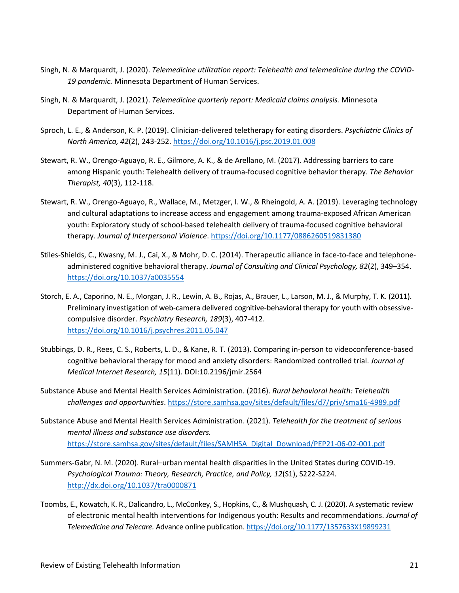- Singh, N. & Marquardt, J. (2020). *Telemedicine utilization report: Telehealth and telemedicine during the COVID-19 pandemic.* Minnesota Department of Human Services.
- Singh, N. & Marquardt, J. (2021). *Telemedicine quarterly report: Medicaid claims analysis.* Minnesota Department of Human Services.
- Sproch, L. E., & Anderson, K. P. (2019). Clinician-delivered teletherapy for eating disorders. *Psychiatric Clinics of North America, 42*(2), 243-252.<https://doi.org/10.1016/j.psc.2019.01.008>
- Stewart, R. W., Orengo-Aguayo, R. E., Gilmore, A. K., & de Arellano, M. (2017). Addressing barriers to care among Hispanic youth: Telehealth delivery of trauma-focused cognitive behavior therapy. *The Behavior Therapist, 40*(3), 112-118.
- Stewart, R. W., Orengo-Aguayo, R., Wallace, M., Metzger, I. W., & Rheingold, A. A. (2019). Leveraging technology and cultural adaptations to increase access and engagement among trauma-exposed African American youth: Exploratory study of school-based telehealth delivery of trauma-focused cognitive behavioral therapy. *Journal of Interpersonal Violence*.<https://doi.org/10.1177/0886260519831380>
- Stiles-Shields, C., Kwasny, M. J., Cai, X., & Mohr, D. C. (2014). Therapeutic alliance in face-to-face and telephoneadministered cognitive behavioral therapy. *Journal of Consulting and Clinical Psychology, 82*(2), 349–354. [https://doi.org/10.1037/a0035554](https://doi.apa.org/doi/10.1037/a0035554)
- Storch, E. A., Caporino, N. E., Morgan, J. R., Lewin, A. B., Rojas, A., Brauer, L., Larson, M. J., & Murphy, T. K. (2011). Preliminary investigation of web-camera delivered cognitive-behavioral therapy for youth with obsessivecompulsive disorder. *Psychiatry Research, 189*(3), 407-412. <https://doi.org/10.1016/j.psychres.2011.05.047>
- Stubbings, D. R., Rees, C. S., Roberts, L. D., & Kane, R. T. (2013). Comparing in-person to videoconference-based cognitive behavioral therapy for mood and anxiety disorders: Randomized controlled trial. *Journal of Medical Internet Research, 15*(11). DOI:10.2196/jmir.2564
- Substance Abuse and Mental Health Services Administration. (2016). *Rural behavioral health: Telehealth challenges and opportunities*.<https://store.samhsa.gov/sites/default/files/d7/priv/sma16-4989.pdf>
- Substance Abuse and Mental Health Services Administration. (2021). *Telehealth for the treatment of serious mental illness and substance use disorders.*  [https://store.samhsa.gov/sites/default/files/SAMHSA\\_Digital\\_Download/PEP21-06-02-001.pdf](https://store.samhsa.gov/sites/default/files/SAMHSA_Digital_Download/PEP21-06-02-001.pdf)
- Summers-Gabr, N. M. (2020). Rural–urban mental health disparities in the United States during COVID-19. *Psychological Trauma: Theory, Research, Practice, and Policy, 12*(S1), S222-S224. <http://dx.doi.org/10.1037/tra0000871>
- Toombs, E., Kowatch, K. R., Dalicandro, L., McConkey, S., Hopkins, C., & Mushquash, C. J. (2020). A systematic review of electronic mental health interventions for Indigenous youth: Results and recommendations. *Journal of Telemedicine and Telecare.* Advance online publication.<https://doi.org/10.1177/1357633X19899231>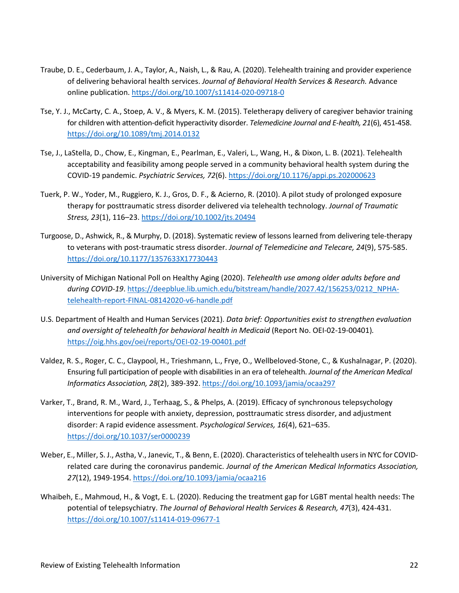- Traube, D. E., Cederbaum, J. A., Taylor, A., Naish, L., & Rau, A. (2020). Telehealth training and provider experience of delivering behavioral health services. *Journal of Behavioral Health Services & Research.* Advance online publication[. https://doi.org/10.1007/s11414-020-09718-0](https://doi.org/10.1007/s11414-020-09718-0)
- Tse, Y. J., McCarty, C. A., Stoep, A. V., & Myers, K. M. (2015). Teletherapy delivery of caregiver behavior training for children with attention-deficit hyperactivity disorder. *Telemedicine Journal and E-health, 21*(6), 451-458. <https://doi.org/10.1089/tmj.2014.0132>
- Tse, J., LaStella, D., Chow, E., Kingman, E., Pearlman, E., Valeri, L., Wang, H., & Dixon, L. B. (2021). Telehealth acceptability and feasibility among people served in a community behavioral health system during the COVID-19 pandemic. *Psychiatric Services, 72*(6).<https://doi.org/10.1176/appi.ps.202000623>
- Tuerk, P. W., Yoder, M., Ruggiero, K. J., Gros, D. F., & Acierno, R. (2010). A pilot study of prolonged exposure therapy for posttraumatic stress disorder delivered via telehealth technology. *Journal of Traumatic Stress, 23*(1), 116–23[. https://doi.org/10.1002/jts.20494](https://doi.org/10.1002/jts.20494)
- Turgoose, D., Ashwick, R., & Murphy, D. (2018). Systematic review of lessons learned from delivering tele-therapy to veterans with post-traumatic stress disorder. *Journal of Telemedicine and Telecare, 24*(9), 575-585. [https://doi.org/10.1177/1357633X17730443](https://doi.org/10.1177%2F1357633X17730443)
- University of Michigan National Poll on Healthy Aging (2020). *Telehealth use among older adults before and during COVID-19*. [https://deepblue.lib.umich.edu/bitstream/handle/2027.42/156253/0212\\_NPHA](https://deepblue.lib.umich.edu/bitstream/handle/2027.42/156253/0212_NPHA-telehealth-report-FINAL-08142020-v6-handle.pdf%20https:/deepblue.lib.umich.edu/bitstream/handle/2027.42/156253/0212_NPHA-telehealth-report-FINAL-08142020-v6-handle.pdf)[telehealth-report-FINAL-08142020-v6-handle.pdf](https://deepblue.lib.umich.edu/bitstream/handle/2027.42/156253/0212_NPHA-telehealth-report-FINAL-08142020-v6-handle.pdf%20https:/deepblue.lib.umich.edu/bitstream/handle/2027.42/156253/0212_NPHA-telehealth-report-FINAL-08142020-v6-handle.pdf)
- U.S. Department of Health and Human Services (2021). *Data brief: Opportunities exist to strengthen evaluation and oversight of telehealth for behavioral health in Medicaid* (Report No. OEI-02-19-00401)*.*  <https://oig.hhs.gov/oei/reports/OEI-02-19-00401.pdf>
- Valdez, R. S., Roger, C. C., Claypool, H., Trieshmann, L., Frye, O., Wellbeloved-Stone, C., & Kushalnagar, P. (2020). Ensuring full participation of people with disabilities in an era of telehealth. *Journal of the American Medical Informatics Association, 28*(2), 389-392.<https://doi.org/10.1093/jamia/ocaa297>
- Varker, T., Brand, R. M., Ward, J., Terhaag, S., & Phelps, A. (2019). Efficacy of synchronous telepsychology interventions for people with anxiety, depression, posttraumatic stress disorder, and adjustment disorder: A rapid evidence assessment. *Psychological Services, 16*(4), 621–635. [https://doi.org/10.1037/ser0000239](https://doi.apa.org/doi/10.1037/ser0000239)
- Weber, E., Miller, S. J., Astha, V., Janevic, T., & Benn, E. (2020). Characteristics of telehealth users in NYC for COVIDrelated care during the coronavirus pandemic. *Journal of the American Medical Informatics Association, 27*(12), 1949-1954[. https://doi.org/10.1093/jamia/ocaa216](https://doi.org/10.1093/jamia/ocaa216)
- Whaibeh, E., Mahmoud, H., & Vogt, E. L. (2020). Reducing the treatment gap for LGBT mental health needs: The potential of telepsychiatry. *The Journal of Behavioral Health Services & Research, 47*(3), 424-431. <https://doi.org/10.1007/s11414-019-09677-1>